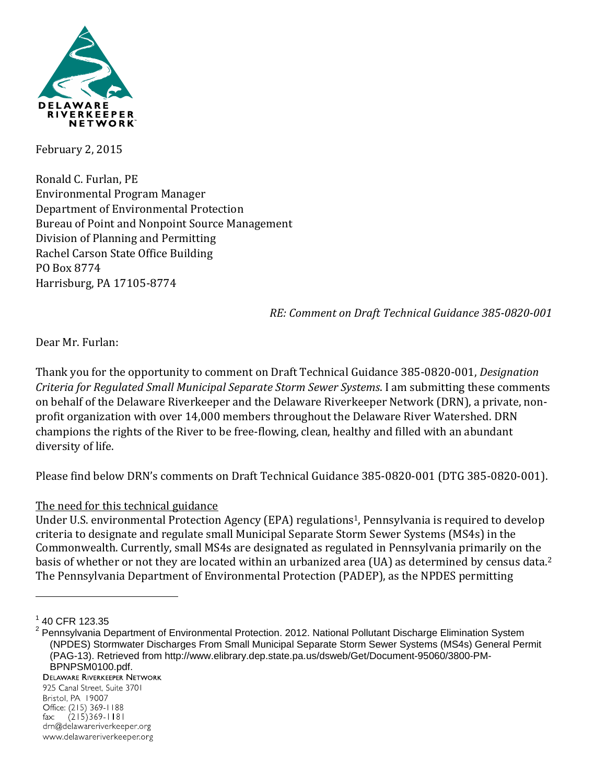

February 2, 2015

Ronald C. Furlan, PE Environmental Program Manager Department of Environmental Protection Bureau of Point and Nonpoint Source Management Division of Planning and Permitting Rachel Carson State Office Building PO Box 8774 Harrisburg, PA 17105-8774

*RE: Comment on Draft Technical Guidance 385‐0820‐001*

Dear Mr. Furlan:

Thank you for the opportunity to comment on Draft Technical Guidance 385-0820-001, *Designation Criteria for Regulated Small Municipal Separate Storm Sewer Systems*. I am submitting these comments on behalf of the Delaware Riverkeeper and the Delaware Riverkeeper Network (DRN), a private, nonprofit organization with over 14,000 members throughout the Delaware River Watershed. DRN champions the rights of the River to be free-flowing, clean, healthy and filled with an abundant diversity of life.

Please find below DRN's comments on Draft Technical Guidance 385-0820-001 (DTG 385-0820-001).

## The need for this technical guidance

Under U.S. environmental Protection Agency (EPA) regulations<sup>1</sup>, Pennsylvania is required to develop criteria to designate and regulate small Municipal Separate Storm Sewer Systems (MS4s) in the Commonwealth. Currently, small MS4s are designated as regulated in Pennsylvania primarily on the basis of whether or not they are located within an urbanized area (UA) as determined by census data.<sup>2</sup> The Pennsylvania Department of Environmental Protection (PADEP), as the NPDES permitting

1

925 Canal Street, Suite 3701 Bristol, PA 19007 Office: (215) 369-1188  $(215)369 - 1181$  $fax$ drn@delawareriverkeeper.org www.delawareriverkeeper.org

 $1$  40 CFR 123.35

<sup>&</sup>lt;sup>2</sup> Pennsylvania Department of Environmental Protection. 2012. National Pollutant Discharge Elimination System (NPDES) Stormwater Discharges From Small Municipal Separate Storm Sewer Systems (MS4s) General Permit (PAG-13). Retrieved from http://www.elibrary.dep.state.pa.us/dsweb/Get/Document-95060/3800-PM-**BPNPSM0100.pdf.**<br>DELAWARE RIVERKEEPER NETWORK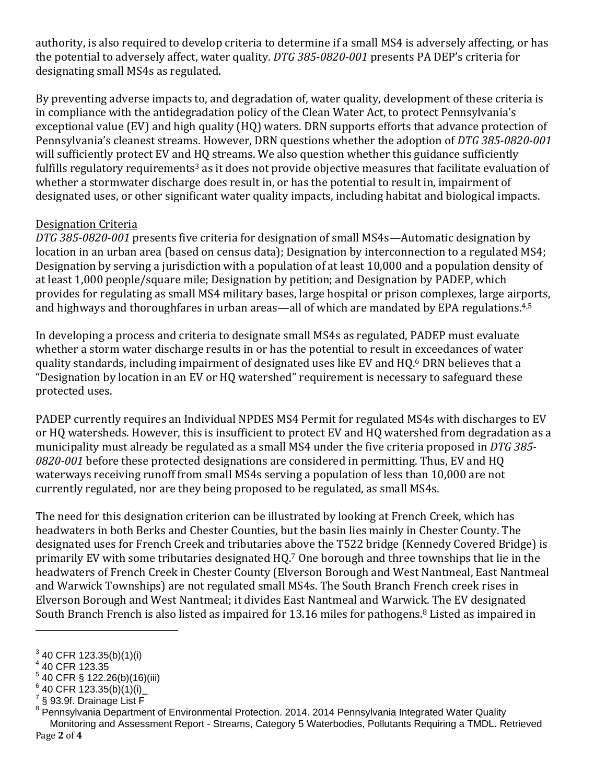authority, is also required to develop criteria to determine if a small MS4 is adversely affecting, or has the potential to adversely affect, water quality. *DTG* 385-0820-001 presents PA DEP's criteria for designating small MS4s as regulated.

By preventing adverse impacts to, and degradation of, water quality, development of these criteria is in compliance with the antidegradation policy of the Clean Water Act, to protect Pennsylvania's exceptional value (EV) and high quality (HQ) waters. DRN supports efforts that advance protection of Pennsylvania's cleanest streams. However, DRN questions whether the adoption of DTG 385-0820-001 will sufficiently protect EV and HO streams. We also question whether this guidance sufficiently fulfills regulatory requirements<sup>3</sup> as it does not provide objective measures that facilitate evaluation of whether a stormwater discharge does result in, or has the potential to result in, impairment of designated uses, or other significant water quality impacts, including habitat and biological impacts.

## Designation Criteria

*DTG 385‐0820‐001* presents five criteria for designation of small MS4s—Automatic designation by location in an urban area (based on census data); Designation by interconnection to a regulated MS4; Designation by serving a jurisdiction with a population of at least 10,000 and a population density of at least 1,000 people/square mile; Designation by petition; and Designation by PADEP, which provides for regulating as small MS4 military bases, large hospital or prison complexes, large airports, and highways and thoroughfares in urban areas—all of which are mandated by EPA regulations.<sup>4,5</sup>

In developing a process and criteria to designate small MS4s as regulated, PADEP must evaluate whether a storm water discharge results in or has the potential to result in exceedances of water quality standards, including impairment of designated uses like EV and HQ.<sup>6</sup> DRN believes that a "Designation by location in an EV or HQ watershed" requirement is necessary to safeguard these protected uses.

PADEP currently requires an Individual NPDES MS4 Permit for regulated MS4s with discharges to EV or HQ watersheds. However, this is insufficient to protect EV and HQ watershed from degradation as a municipality must already be regulated as a small MS4 under the five criteria proposed in *DTG* 385-0820-001 before these protected designations are considered in permitting. Thus, EV and HQ waterways receiving runoff from small MS4s serving a population of less than 10,000 are not currently regulated, nor are they being proposed to be regulated, as small MS4s.

The need for this designation criterion can be illustrated by looking at French Creek, which has headwaters in both Berks and Chester Counties, but the basin lies mainly in Chester County. The designated uses for French Creek and tributaries above the T522 bridge (Kennedy Covered Bridge) is primarily EV with some tributaries designated HQ.<sup>7</sup> One borough and three townships that lie in the headwaters of French Creek in Chester County (Elverson Borough and West Nantmeal, East Nantmeal and Warwick Townships) are not regulated small MS4s. The South Branch French creek rises in Elverson Borough and West Nantmeal; it divides East Nantmeal and Warwick. The EV designated South Branch French is also listed as impaired for 13.16 miles for pathogens.<sup>8</sup> Listed as impaired in

 $\overline{a}$ 

 $3$  40 CFR 123.35(b)(1)(i)

 $^4$  40 CFR 123.35

 $5$  40 CFR § 122.26(b)(16)(iii)

 $6$  40 CFR 123.35(b)(1)(i)

 $^7$ § 93.9f. Drainage List F

Page **2** of **4** <sup>8</sup> Pennsylvania Department of Environmental Protection. 2014. 2014 Pennsylvania Integrated Water Quality Monitoring and Assessment Report - Streams, Category 5 Waterbodies, Pollutants Requiring a TMDL. Retrieved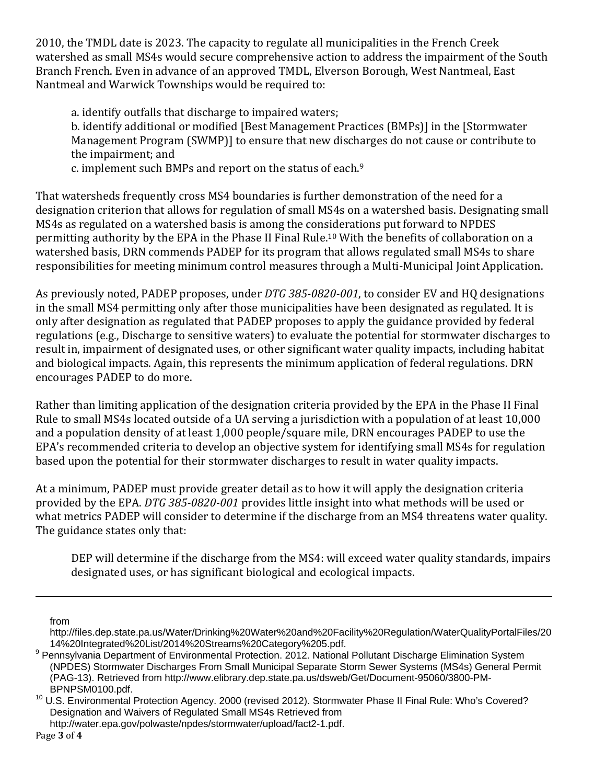2010, the TMDL date is 2023. The capacity to regulate all municipalities in the French Creek watershed as small MS4s would secure comprehensive action to address the impairment of the South Branch French. Even in advance of an approved TMDL, Elverson Borough, West Nantmeal, East Nantmeal and Warwick Townships would be required to:

a. identify outfalls that discharge to impaired waters; b. identify additional or modified [Best Management Practices (BMPs)] in the [Stormwater Management Program (SWMP)] to ensure that new discharges do not cause or contribute to the impairment: and

c. implement such BMPs and report on the status of each.<sup>9</sup>

That watersheds frequently cross MS4 boundaries is further demonstration of the need for a designation criterion that allows for regulation of small MS4s on a watershed basis. Designating small MS4s as regulated on a watershed basis is among the considerations put forward to NPDES permitting authority by the EPA in the Phase II Final Rule.<sup>10</sup> With the benefits of collaboration on a watershed basis, DRN commends PADEP for its program that allows regulated small MS4s to share responsibilities for meeting minimum control measures through a Multi-Municipal Joint Application.

As previously noted, PADEP proposes, under *DTG* 385-0820-001, to consider EV and HQ designations in the small MS4 permitting only after those municipalities have been designated as regulated. It is only after designation as regulated that PADEP proposes to apply the guidance provided by federal regulations (e.g., Discharge to sensitive waters) to evaluate the potential for stormwater discharges to result in, impairment of designated uses, or other significant water quality impacts, including habitat and biological impacts. Again, this represents the minimum application of federal regulations. DRN encourages PADEP to do more.

Rather than limiting application of the designation criteria provided by the EPA in the Phase II Final Rule to small MS4s located outside of a UA serving a jurisdiction with a population of at least 10,000 and a population density of at least 1,000 people/square mile, DRN encourages PADEP to use the EPA's recommended criteria to develop an objective system for identifying small MS4s for regulation based upon the potential for their stormwater discharges to result in water quality impacts.

At a minimum, PADEP must provide greater detail as to how it will apply the designation criteria provided by the EPA. *DTG* 385-0820-001 provides little insight into what methods will be used or what metrics PADEP will consider to determine if the discharge from an MS4 threatens water quality. The guidance states only that:

DEP will determine if the discharge from the MS4: will exceed water quality standards, impairs designated uses, or has significant biological and ecological impacts.

 $\overline{a}$ 

http://water.epa.gov/polwaste/npdes/stormwater/upload/fact2-1.pdf.

from

http://files.dep.state.pa.us/Water/Drinking%20Water%20and%20Facility%20Regulation/WaterQualityPortalFiles/20 14%20Integrated%20List/2014%20Streams%20Category%205.pdf. 9

<sup>&</sup>lt;sup>9</sup> Pennsylvania Department of Environmental Protection. 2012. National Pollutant Discharge Elimination System (NPDES) Stormwater Discharges From Small Municipal Separate Storm Sewer Systems (MS4s) General Permit (PAG-13). Retrieved from http://www.elibrary.dep.state.pa.us/dsweb/Get/Document-95060/3800-PM-

<sup>&</sup>lt;sup>10</sup> U.S. Environmental Protection Agency. 2000 (revised 2012). Stormwater Phase II Final Rule: Who's Covered? Designation and Waivers of Regulated Small MS4s Retrieved from